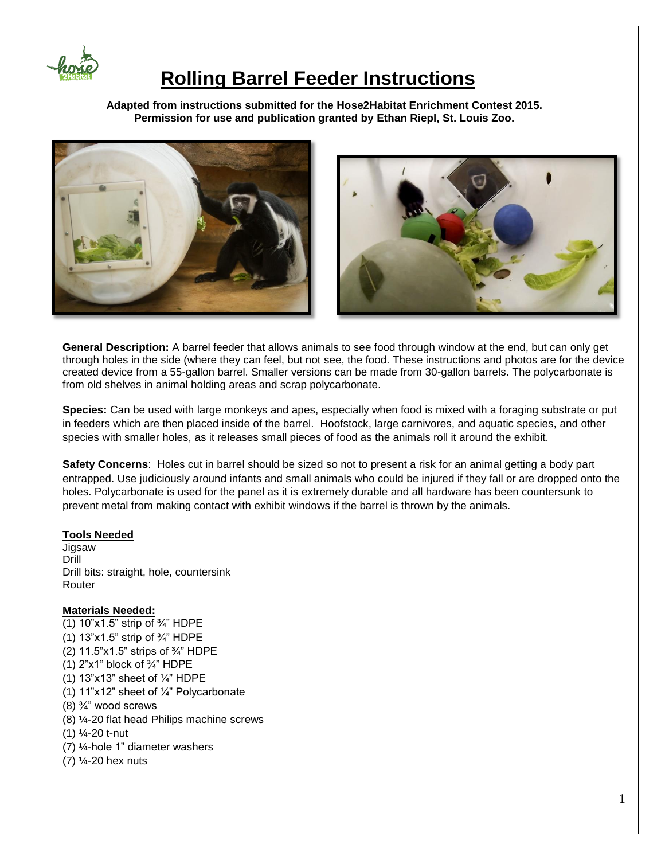

 $\overline{\phantom{a}}$ 

## **Rolling Barrel Feeder Instructions**

**Adapted from instructions submitted for the Hose2Habitat Enrichment Contest 2015. Permission for use and publication granted by Ethan Riepl, St. Louis Zoo.**



**General Description:** A barrel feeder that allows animals to see food through window at the end, but can only get through holes in the side (where they can feel, but not see, the food. These instructions and photos are for the device created device from a 55-gallon barrel. Smaller versions can be made from 30-gallon barrels. The polycarbonate is from old shelves in animal holding areas and scrap polycarbonate.

**Species:** Can be used with large monkeys and apes, especially when food is mixed with a foraging substrate or put in feeders which are then placed inside of the barrel. Hoofstock, large carnivores, and aquatic species, and other species with smaller holes, as it releases small pieces of food as the animals roll it around the exhibit.

**Safety Concerns**: Holes cut in barrel should be sized so not to present a risk for an animal getting a body part entrapped. Use judiciously around infants and small animals who could be injured if they fall or are dropped onto the holes. Polycarbonate is used for the panel as it is extremely durable and all hardware has been countersunk to prevent metal from making contact with exhibit windows if the barrel is thrown by the animals.

### **Tools Needed**

Jigsaw Drill Drill bits: straight, hole, countersink Router

#### **Materials Needed:**

(1)  $10"x1.5"$  strip of  $\frac{3}{4}$ " HDPE (1) 13"x1.5" strip of ¾" HDPE (2) 11.5"x1.5" strips of ¾" HDPE (1)  $2"x1"$  block of  $\frac{3}{4}$ " HDPE (1)  $13"x13"$  sheet of  $\frac{1}{4}$ " HDPE (1) 11"x12" sheet of ¼" Polycarbonate (8)  $\frac{3}{4}$ " wood screws (8) ¼-20 flat head Philips machine screws (1) ¼-20 t-nut (7) ¼-hole 1" diameter washers (7) ¼-20 hex nuts